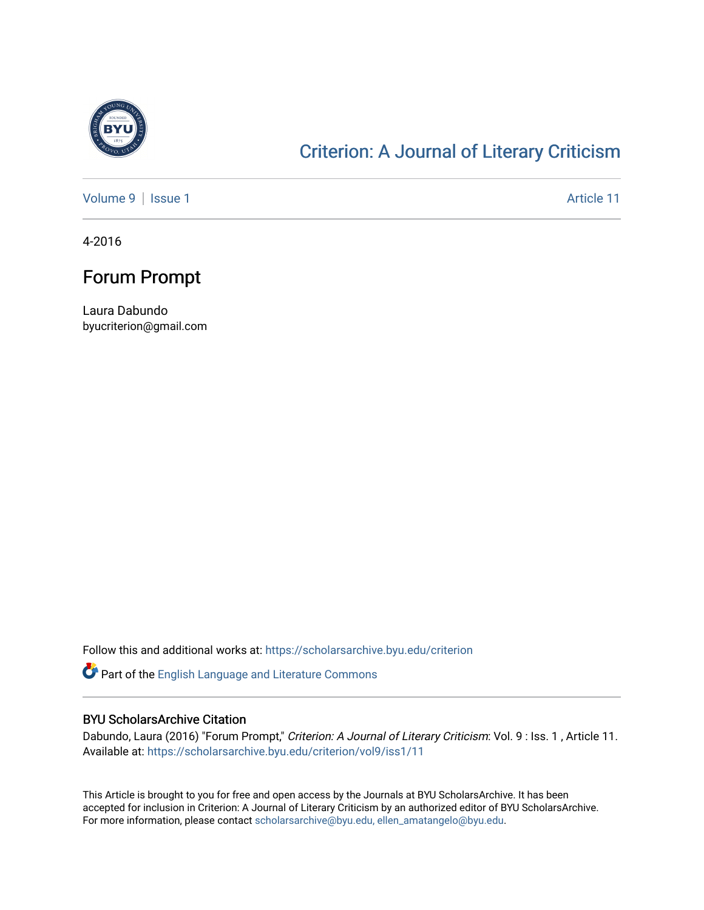

### [Criterion: A Journal of Literary Criticism](https://scholarsarchive.byu.edu/criterion)

[Volume 9](https://scholarsarchive.byu.edu/criterion/vol9) | [Issue 1](https://scholarsarchive.byu.edu/criterion/vol9/iss1) Article 11

4-2016

### Forum Prompt

Laura Dabundo byucriterion@gmail.com

Follow this and additional works at: [https://scholarsarchive.byu.edu/criterion](https://scholarsarchive.byu.edu/criterion?utm_source=scholarsarchive.byu.edu%2Fcriterion%2Fvol9%2Fiss1%2F11&utm_medium=PDF&utm_campaign=PDFCoverPages) 

Part of the [English Language and Literature Commons](http://network.bepress.com/hgg/discipline/455?utm_source=scholarsarchive.byu.edu%2Fcriterion%2Fvol9%2Fiss1%2F11&utm_medium=PDF&utm_campaign=PDFCoverPages)

### BYU ScholarsArchive Citation

Dabundo, Laura (2016) "Forum Prompt," Criterion: A Journal of Literary Criticism: Vol. 9 : Iss. 1, Article 11. Available at: [https://scholarsarchive.byu.edu/criterion/vol9/iss1/11](https://scholarsarchive.byu.edu/criterion/vol9/iss1/11?utm_source=scholarsarchive.byu.edu%2Fcriterion%2Fvol9%2Fiss1%2F11&utm_medium=PDF&utm_campaign=PDFCoverPages)

This Article is brought to you for free and open access by the Journals at BYU ScholarsArchive. It has been accepted for inclusion in Criterion: A Journal of Literary Criticism by an authorized editor of BYU ScholarsArchive. For more information, please contact [scholarsarchive@byu.edu, ellen\\_amatangelo@byu.edu](mailto:scholarsarchive@byu.edu,%20ellen_amatangelo@byu.edu).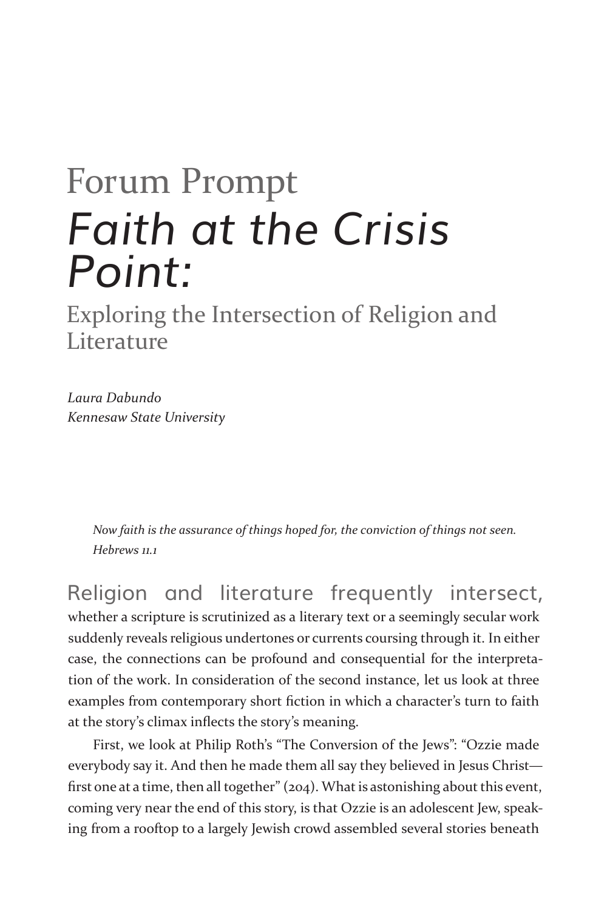# Forum Prompt *Faith at the Crisis Point:*

Exploring the Intersection of Religion and **Literature** 

*Laura Dabundo Kennesaw State University*

> *Now faith is the assurance of things hoped for, the conviction of things not seen. Hebrews 11.1*

Religion and literature frequently intersect, whether a scripture is scrutinized as a literary text or a seemingly secular work suddenly reveals religious undertones or currents coursing through it. In either case, the connections can be profound and consequential for the interpretation of the work. In consideration of the second instance, let us look at three examples from contemporary short fiction in which a character's turn to faith at the story's climax inflects the story's meaning.

First, we look at Philip Roth's "The Conversion of the Jews": "Ozzie made everybody say it. And then he made them all say they believed in Jesus Christ first one at a time, then all together" (204). What is astonishing about this event, coming very near the end of this story, is that Ozzie is an adolescent Jew, speaking from a rooftop to a largely Jewish crowd assembled several stories beneath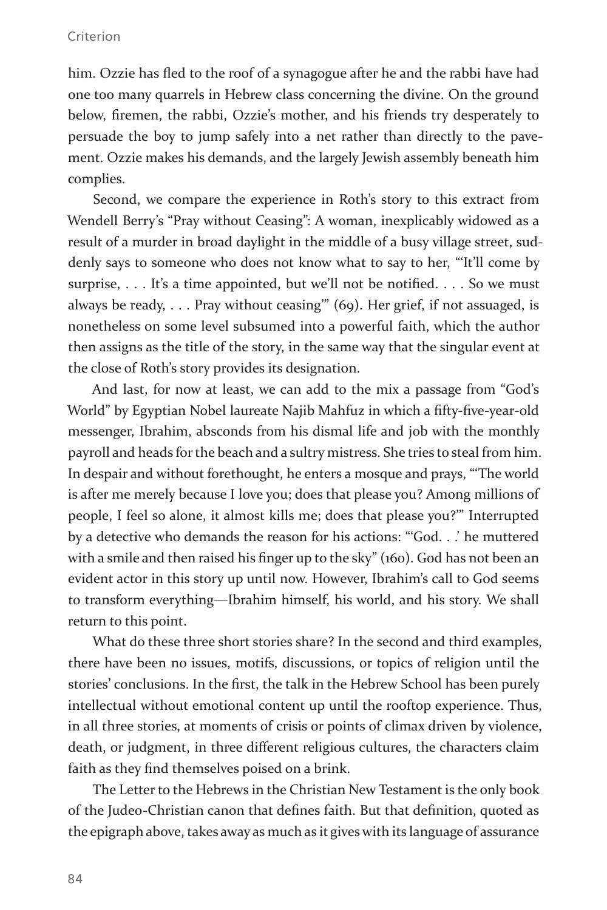#### Criterion

him. Ozzie has fled to the roof of a synagogue after he and the rabbi have had one too many quarrels in Hebrew class concerning the divine. On the ground below, firemen, the rabbi, Ozzie's mother, and his friends try desperately to persuade the boy to jump safely into a net rather than directly to the pavement. Ozzie makes his demands, and the largely Jewish assembly beneath him complies.

Second, we compare the experience in Roth's story to this extract from Wendell Berry's "Pray without Ceasing": A woman, inexplicably widowed as a result of a murder in broad daylight in the middle of a busy village street, suddenly says to someone who does not know what to say to her, "'It'll come by surprise, . . . It's a time appointed, but we'll not be notified. . . . So we must always be ready, . . . Pray without ceasing'" (69). Her grief, if not assuaged, is nonetheless on some level subsumed into a powerful faith, which the author then assigns as the title of the story, in the same way that the singular event at the close of Roth's story provides its designation.

And last, for now at least, we can add to the mix a passage from "God's World" by Egyptian Nobel laureate Najib Mahfuz in which a fifty-five-year-old messenger, Ibrahim, absconds from his dismal life and job with the monthly payroll and heads for the beach and a sultry mistress. She tries to steal from him. In despair and without forethought, he enters a mosque and prays, "'The world is after me merely because I love you; does that please you? Among millions of people, I feel so alone, it almost kills me; does that please you?'" Interrupted by a detective who demands the reason for his actions: "'God. . .' he muttered with a smile and then raised his finger up to the sky" (160). God has not been an evident actor in this story up until now. However, Ibrahim's call to God seems to transform everything—Ibrahim himself, his world, and his story. We shall return to this point.

What do these three short stories share? In the second and third examples, there have been no issues, motifs, discussions, or topics of religion until the stories' conclusions. In the first, the talk in the Hebrew School has been purely intellectual without emotional content up until the rooftop experience. Thus, in all three stories, at moments of crisis or points of climax driven by violence, death, or judgment, in three different religious cultures, the characters claim faith as they find themselves poised on a brink.

The Letter to the Hebrews in the Christian New Testament is the only book of the Judeo-Christian canon that defines faith. But that definition, quoted as the epigraph above, takes away as much as it gives with its language of assurance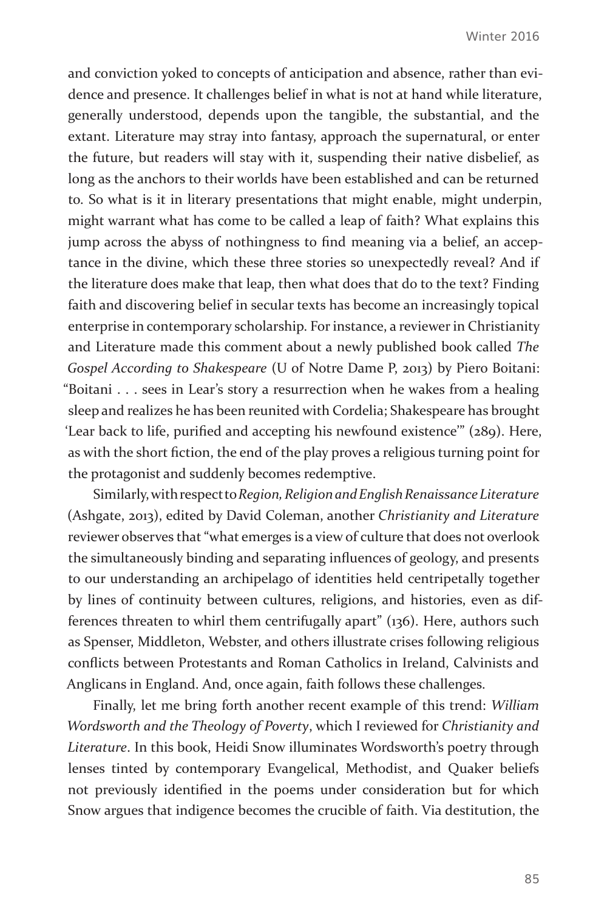and conviction yoked to concepts of anticipation and absence, rather than evidence and presence. It challenges belief in what is not at hand while literature, generally understood, depends upon the tangible, the substantial, and the extant. Literature may stray into fantasy, approach the supernatural, or enter the future, but readers will stay with it, suspending their native disbelief, as long as the anchors to their worlds have been established and can be returned to. So what is it in literary presentations that might enable, might underpin, might warrant what has come to be called a leap of faith? What explains this jump across the abyss of nothingness to find meaning via a belief, an acceptance in the divine, which these three stories so unexpectedly reveal? And if the literature does make that leap, then what does that do to the text? Finding faith and discovering belief in secular texts has become an increasingly topical enterprise in contemporary scholarship. For instance, a reviewer in Christianity and Literature made this comment about a newly published book called *The Gospel According to Shakespeare* (U of Notre Dame P, 2013) by Piero Boitani: "Boitani . . . sees in Lear's story a resurrection when he wakes from a healing sleep and realizes he has been reunited with Cordelia; Shakespeare has brought 'Lear back to life, purified and accepting his newfound existence'" (289). Here, as with the short fiction, the end of the play proves a religious turning point for the protagonist and suddenly becomes redemptive.

Similarly, with respect to *Region, Religion and English Renaissance Literature* (Ashgate, 2013), edited by David Coleman, another *Christianity and Literature*  reviewer observes that "what emerges is a view of culture that does not overlook the simultaneously binding and separating influences of geology, and presents to our understanding an archipelago of identities held centripetally together by lines of continuity between cultures, religions, and histories, even as differences threaten to whirl them centrifugally apart" (136). Here, authors such as Spenser, Middleton, Webster, and others illustrate crises following religious conflicts between Protestants and Roman Catholics in Ireland, Calvinists and Anglicans in England. And, once again, faith follows these challenges.

Finally, let me bring forth another recent example of this trend: *William Wordsworth and the Theology of Poverty*, which I reviewed for *Christianity and Literature*. In this book, Heidi Snow illuminates Wordsworth's poetry through lenses tinted by contemporary Evangelical, Methodist, and Quaker beliefs not previously identified in the poems under consideration but for which Snow argues that indigence becomes the crucible of faith. Via destitution, the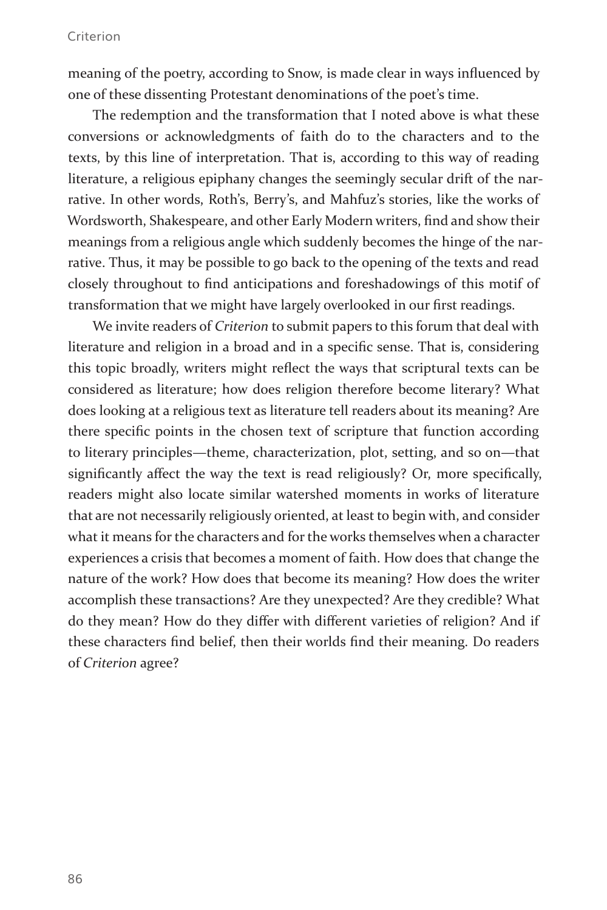#### Criterion

meaning of the poetry, according to Snow, is made clear in ways influenced by one of these dissenting Protestant denominations of the poet's time.

The redemption and the transformation that I noted above is what these conversions or acknowledgments of faith do to the characters and to the texts, by this line of interpretation. That is, according to this way of reading literature, a religious epiphany changes the seemingly secular drift of the narrative. In other words, Roth's, Berry's, and Mahfuz's stories, like the works of Wordsworth, Shakespeare, and other Early Modern writers, find and show their meanings from a religious angle which suddenly becomes the hinge of the narrative. Thus, it may be possible to go back to the opening of the texts and read closely throughout to find anticipations and foreshadowings of this motif of transformation that we might have largely overlooked in our first readings.

We invite readers of *Criterion* to submit papers to this forum that deal with literature and religion in a broad and in a specific sense. That is, considering this topic broadly, writers might reflect the ways that scriptural texts can be considered as literature; how does religion therefore become literary? What does looking at a religious text as literature tell readers about its meaning? Are there specific points in the chosen text of scripture that function according to literary principles—theme, characterization, plot, setting, and so on—that significantly affect the way the text is read religiously? Or, more specifically, readers might also locate similar watershed moments in works of literature that are not necessarily religiously oriented, at least to begin with, and consider what it means for the characters and for the works themselves when a character experiences a crisis that becomes a moment of faith. How does that change the nature of the work? How does that become its meaning? How does the writer accomplish these transactions? Are they unexpected? Are they credible? What do they mean? How do they differ with different varieties of religion? And if these characters find belief, then their worlds find their meaning. Do readers of *Criterion* agree?